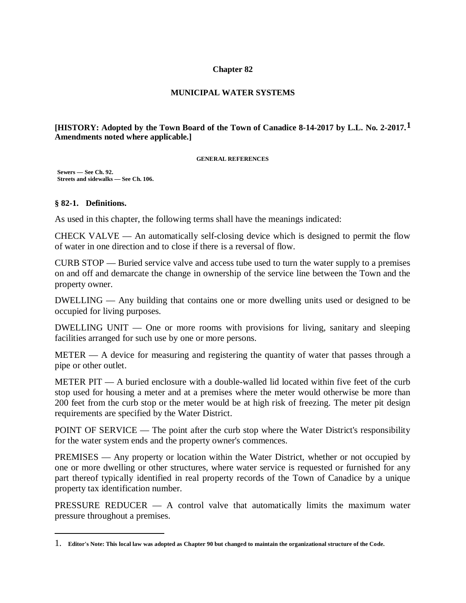### **Chapter 82**

### **MUNICIPAL WATER SYSTEMS**

### **[HISTORY: Adopted by the Town Board of the Town of Canadice 8-14-2017 by L.L. No. 2-2017.1 Amendments noted where applicable.]**

#### **GENERAL REFERENCES**

 **Sewers — See Ch. 92. Streets and sidewalks — See Ch. 106.**

### **§ 82-1. Definitions.**

As used in this chapter, the following terms shall have the meanings indicated:

CHECK VALVE — An automatically self-closing device which is designed to permit the flow of water in one direction and to close if there is a reversal of flow.

CURB STOP — Buried service valve and access tube used to turn the water supply to a premises on and off and demarcate the change in ownership of the service line between the Town and the property owner.

DWELLING — Any building that contains one or more dwelling units used or designed to be occupied for living purposes.

DWELLING UNIT — One or more rooms with provisions for living, sanitary and sleeping facilities arranged for such use by one or more persons.

METER — A device for measuring and registering the quantity of water that passes through a pipe or other outlet.

METER PIT — A buried enclosure with a double-walled lid located within five feet of the curb stop used for housing a meter and at a premises where the meter would otherwise be more than 200 feet from the curb stop or the meter would be at high risk of freezing. The meter pit design requirements are specified by the Water District.

POINT OF SERVICE — The point after the curb stop where the Water District's responsibility for the water system ends and the property owner's commences.

PREMISES — Any property or location within the Water District, whether or not occupied by one or more dwelling or other structures, where water service is requested or furnished for any part thereof typically identified in real property records of the Town of Canadice by a unique property tax identification number.

PRESSURE REDUCER — A control valve that automatically limits the maximum water pressure throughout a premises.

<sup>1.</sup> **Editor's Note: This local law was adopted as Chapter 90 but changed to maintain the organizational structure of the Code.**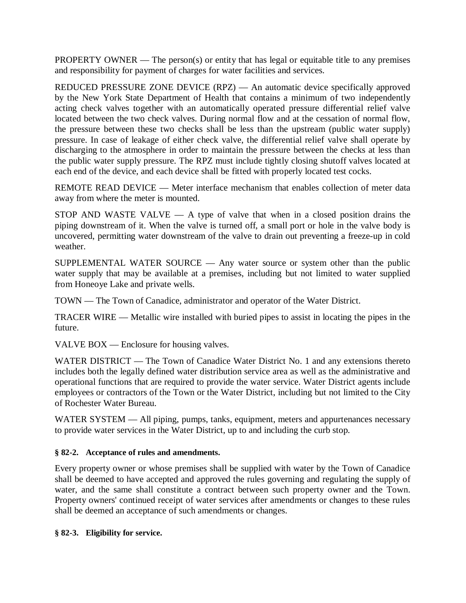PROPERTY OWNER — The person(s) or entity that has legal or equitable title to any premises and responsibility for payment of charges for water facilities and services.

REDUCED PRESSURE ZONE DEVICE (RPZ) — An automatic device specifically approved by the New York State Department of Health that contains a minimum of two independently acting check valves together with an automatically operated pressure differential relief valve located between the two check valves. During normal flow and at the cessation of normal flow, the pressure between these two checks shall be less than the upstream (public water supply) pressure. In case of leakage of either check valve, the differential relief valve shall operate by discharging to the atmosphere in order to maintain the pressure between the checks at less than the public water supply pressure. The RPZ must include tightly closing shutoff valves located at each end of the device, and each device shall be fitted with properly located test cocks.

REMOTE READ DEVICE — Meter interface mechanism that enables collection of meter data away from where the meter is mounted.

STOP AND WASTE VALVE  $- A$  type of valve that when in a closed position drains the piping downstream of it. When the valve is turned off, a small port or hole in the valve body is uncovered, permitting water downstream of the valve to drain out preventing a freeze-up in cold weather.

SUPPLEMENTAL WATER SOURCE — Any water source or system other than the public water supply that may be available at a premises, including but not limited to water supplied from Honeoye Lake and private wells.

TOWN — The Town of Canadice, administrator and operator of the Water District.

TRACER WIRE — Metallic wire installed with buried pipes to assist in locating the pipes in the future.

VALVE BOX — Enclosure for housing valves.

WATER DISTRICT — The Town of Canadice Water District No. 1 and any extensions thereto includes both the legally defined water distribution service area as well as the administrative and operational functions that are required to provide the water service. Water District agents include employees or contractors of the Town or the Water District, including but not limited to the City of Rochester Water Bureau.

WATER SYSTEM — All piping, pumps, tanks, equipment, meters and appurtenances necessary to provide water services in the Water District, up to and including the curb stop.

# **§ 82-2. Acceptance of rules and amendments.**

Every property owner or whose premises shall be supplied with water by the Town of Canadice shall be deemed to have accepted and approved the rules governing and regulating the supply of water, and the same shall constitute a contract between such property owner and the Town. Property owners' continued receipt of water services after amendments or changes to these rules shall be deemed an acceptance of such amendments or changes.

# **§ 82-3. Eligibility for service.**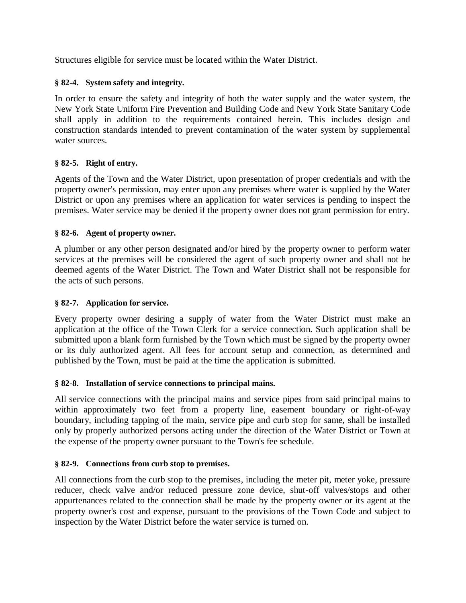Structures eligible for service must be located within the Water District.

# **§ 82-4. System safety and integrity.**

In order to ensure the safety and integrity of both the water supply and the water system, the New York State Uniform Fire Prevention and Building Code and New York State Sanitary Code shall apply in addition to the requirements contained herein. This includes design and construction standards intended to prevent contamination of the water system by supplemental water sources.

# **§ 82-5. Right of entry.**

Agents of the Town and the Water District, upon presentation of proper credentials and with the property owner's permission, may enter upon any premises where water is supplied by the Water District or upon any premises where an application for water services is pending to inspect the premises. Water service may be denied if the property owner does not grant permission for entry.

# **§ 82-6. Agent of property owner.**

A plumber or any other person designated and/or hired by the property owner to perform water services at the premises will be considered the agent of such property owner and shall not be deemed agents of the Water District. The Town and Water District shall not be responsible for the acts of such persons.

# **§ 82-7. Application for service.**

Every property owner desiring a supply of water from the Water District must make an application at the office of the Town Clerk for a service connection. Such application shall be submitted upon a blank form furnished by the Town which must be signed by the property owner or its duly authorized agent. All fees for account setup and connection, as determined and published by the Town, must be paid at the time the application is submitted.

# **§ 82-8. Installation of service connections to principal mains.**

All service connections with the principal mains and service pipes from said principal mains to within approximately two feet from a property line, easement boundary or right-of-way boundary, including tapping of the main, service pipe and curb stop for same, shall be installed only by properly authorized persons acting under the direction of the Water District or Town at the expense of the property owner pursuant to the Town's fee schedule.

# **§ 82-9. Connections from curb stop to premises.**

All connections from the curb stop to the premises, including the meter pit, meter yoke, pressure reducer, check valve and/or reduced pressure zone device, shut-off valves/stops and other appurtenances related to the connection shall be made by the property owner or its agent at the property owner's cost and expense, pursuant to the provisions of the Town Code and subject to inspection by the Water District before the water service is turned on.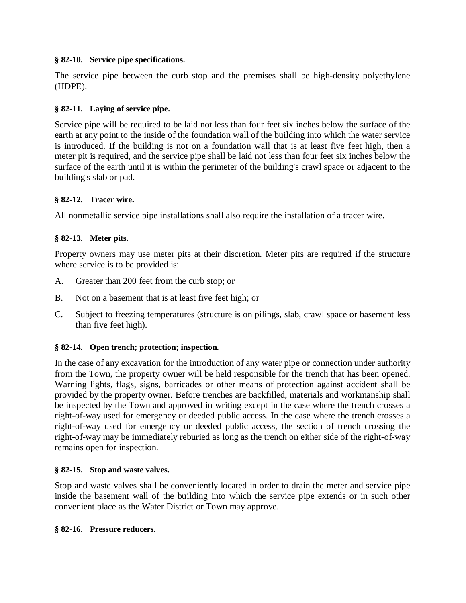# **§ 82-10. Service pipe specifications.**

The service pipe between the curb stop and the premises shall be high-density polyethylene (HDPE).

# **§ 82-11. Laying of service pipe.**

Service pipe will be required to be laid not less than four feet six inches below the surface of the earth at any point to the inside of the foundation wall of the building into which the water service is introduced. If the building is not on a foundation wall that is at least five feet high, then a meter pit is required, and the service pipe shall be laid not less than four feet six inches below the surface of the earth until it is within the perimeter of the building's crawl space or adjacent to the building's slab or pad.

# **§ 82-12. Tracer wire.**

All nonmetallic service pipe installations shall also require the installation of a tracer wire.

# **§ 82-13. Meter pits.**

Property owners may use meter pits at their discretion. Meter pits are required if the structure where service is to be provided is:

- A. Greater than 200 feet from the curb stop; or
- B. Not on a basement that is at least five feet high; or
- C. Subject to freezing temperatures (structure is on pilings, slab, crawl space or basement less than five feet high).

# **§ 82-14. Open trench; protection; inspection.**

In the case of any excavation for the introduction of any water pipe or connection under authority from the Town, the property owner will be held responsible for the trench that has been opened. Warning lights, flags, signs, barricades or other means of protection against accident shall be provided by the property owner. Before trenches are backfilled, materials and workmanship shall be inspected by the Town and approved in writing except in the case where the trench crosses a right-of-way used for emergency or deeded public access. In the case where the trench crosses a right-of-way used for emergency or deeded public access, the section of trench crossing the right-of-way may be immediately reburied as long as the trench on either side of the right-of-way remains open for inspection.

# **§ 82-15. Stop and waste valves.**

Stop and waste valves shall be conveniently located in order to drain the meter and service pipe inside the basement wall of the building into which the service pipe extends or in such other convenient place as the Water District or Town may approve.

# **§ 82-16. Pressure reducers.**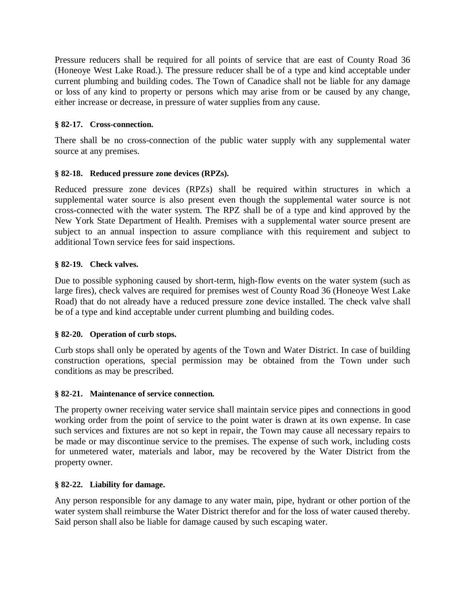Pressure reducers shall be required for all points of service that are east of County Road 36 (Honeoye West Lake Road.). The pressure reducer shall be of a type and kind acceptable under current plumbing and building codes. The Town of Canadice shall not be liable for any damage or loss of any kind to property or persons which may arise from or be caused by any change, either increase or decrease, in pressure of water supplies from any cause.

# **§ 82-17. Cross-connection.**

There shall be no cross-connection of the public water supply with any supplemental water source at any premises.

# **§ 82-18. Reduced pressure zone devices (RPZs).**

Reduced pressure zone devices (RPZs) shall be required within structures in which a supplemental water source is also present even though the supplemental water source is not cross-connected with the water system. The RPZ shall be of a type and kind approved by the New York State Department of Health. Premises with a supplemental water source present are subject to an annual inspection to assure compliance with this requirement and subject to additional Town service fees for said inspections.

# **§ 82-19. Check valves.**

Due to possible syphoning caused by short-term, high-flow events on the water system (such as large fires), check valves are required for premises west of County Road 36 (Honeoye West Lake Road) that do not already have a reduced pressure zone device installed. The check valve shall be of a type and kind acceptable under current plumbing and building codes.

# **§ 82-20. Operation of curb stops.**

Curb stops shall only be operated by agents of the Town and Water District. In case of building construction operations, special permission may be obtained from the Town under such conditions as may be prescribed.

# **§ 82-21. Maintenance of service connection.**

The property owner receiving water service shall maintain service pipes and connections in good working order from the point of service to the point water is drawn at its own expense. In case such services and fixtures are not so kept in repair, the Town may cause all necessary repairs to be made or may discontinue service to the premises. The expense of such work, including costs for unmetered water, materials and labor, may be recovered by the Water District from the property owner.

# **§ 82-22. Liability for damage.**

Any person responsible for any damage to any water main, pipe, hydrant or other portion of the water system shall reimburse the Water District therefor and for the loss of water caused thereby. Said person shall also be liable for damage caused by such escaping water.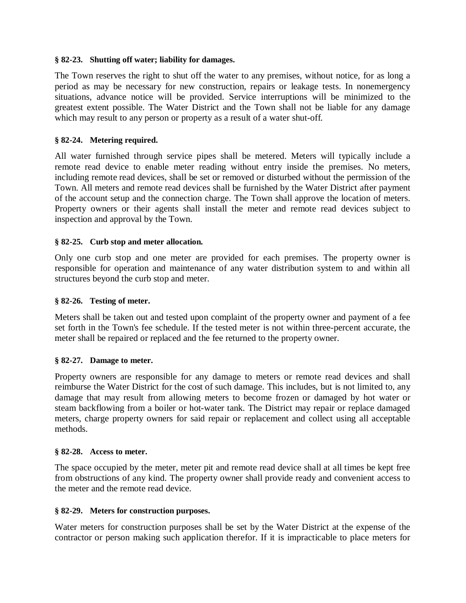### **§ 82-23. Shutting off water; liability for damages.**

The Town reserves the right to shut off the water to any premises, without notice, for as long a period as may be necessary for new construction, repairs or leakage tests. In nonemergency situations, advance notice will be provided. Service interruptions will be minimized to the greatest extent possible. The Water District and the Town shall not be liable for any damage which may result to any person or property as a result of a water shut-off.

### **§ 82-24. Metering required.**

All water furnished through service pipes shall be metered. Meters will typically include a remote read device to enable meter reading without entry inside the premises. No meters, including remote read devices, shall be set or removed or disturbed without the permission of the Town. All meters and remote read devices shall be furnished by the Water District after payment of the account setup and the connection charge. The Town shall approve the location of meters. Property owners or their agents shall install the meter and remote read devices subject to inspection and approval by the Town.

### **§ 82-25. Curb stop and meter allocation.**

Only one curb stop and one meter are provided for each premises. The property owner is responsible for operation and maintenance of any water distribution system to and within all structures beyond the curb stop and meter.

#### **§ 82-26. Testing of meter.**

Meters shall be taken out and tested upon complaint of the property owner and payment of a fee set forth in the Town's fee schedule. If the tested meter is not within three-percent accurate, the meter shall be repaired or replaced and the fee returned to the property owner.

#### **§ 82-27. Damage to meter.**

Property owners are responsible for any damage to meters or remote read devices and shall reimburse the Water District for the cost of such damage. This includes, but is not limited to, any damage that may result from allowing meters to become frozen or damaged by hot water or steam backflowing from a boiler or hot-water tank. The District may repair or replace damaged meters, charge property owners for said repair or replacement and collect using all acceptable methods.

#### **§ 82-28. Access to meter.**

The space occupied by the meter, meter pit and remote read device shall at all times be kept free from obstructions of any kind. The property owner shall provide ready and convenient access to the meter and the remote read device.

#### **§ 82-29. Meters for construction purposes.**

Water meters for construction purposes shall be set by the Water District at the expense of the contractor or person making such application therefor. If it is impracticable to place meters for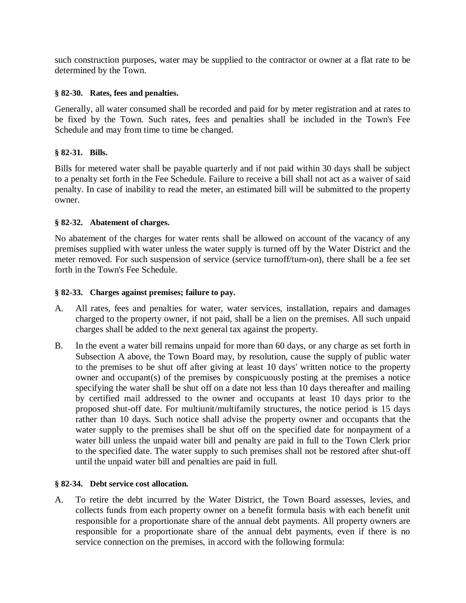such construction purposes, water may be supplied to the contractor or owner at a flat rate to be determined by the Town.

# **§ 82-30. Rates, fees and penalties.**

Generally, all water consumed shall be recorded and paid for by meter registration and at rates to be fixed by the Town. Such rates, fees and penalties shall be included in the Town's Fee Schedule and may from time to time be changed.

# **§ 82-31. Bills.**

Bills for metered water shall be payable quarterly and if not paid within 30 days shall be subject to a penalty set forth in the Fee Schedule. Failure to receive a bill shall not act as a waiver of said penalty. In case of inability to read the meter, an estimated bill will be submitted to the property owner.

# **§ 82-32. Abatement of charges.**

No abatement of the charges for water rents shall be allowed on account of the vacancy of any premises supplied with water unless the water supply is turned off by the Water District and the meter removed. For such suspension of service (service turnoff/turn-on), there shall be a fee set forth in the Town's Fee Schedule.

# **§ 82-33. Charges against premises; failure to pay.**

- A. All rates, fees and penalties for water, water services, installation, repairs and damages charged to the property owner, if not paid, shall be a lien on the premises. All such unpaid charges shall be added to the next general tax against the property.
- B. In the event a water bill remains unpaid for more than 60 days, or any charge as set forth in Subsection A above, the Town Board may, by resolution, cause the supply of public water to the premises to be shut off after giving at least 10 days' written notice to the property owner and occupant(s) of the premises by conspicuously posting at the premises a notice specifying the water shall be shut off on a date not less than 10 days thereafter and mailing by certified mail addressed to the owner and occupants at least 10 days prior to the proposed shut-off date. For multiunit/multifamily structures, the notice period is 15 days rather than 10 days. Such notice shall advise the property owner and occupants that the water supply to the premises shall be shut off on the specified date for nonpayment of a water bill unless the unpaid water bill and penalty are paid in full to the Town Clerk prior to the specified date. The water supply to such premises shall not be restored after shut-off until the unpaid water bill and penalties are paid in full.

# **§ 82-34. Debt service cost allocation.**

A. To retire the debt incurred by the Water District, the Town Board assesses, levies, and collects funds from each property owner on a benefit formula basis with each benefit unit responsible for a proportionate share of the annual debt payments. All property owners are responsible for a proportionate share of the annual debt payments, even if there is no service connection on the premises, in accord with the following formula: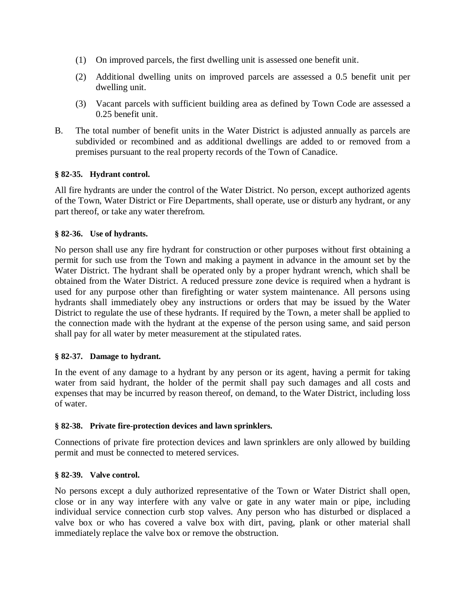- (1) On improved parcels, the first dwelling unit is assessed one benefit unit.
- (2) Additional dwelling units on improved parcels are assessed a 0.5 benefit unit per dwelling unit.
- (3) Vacant parcels with sufficient building area as defined by Town Code are assessed a 0.25 benefit unit.
- B. The total number of benefit units in the Water District is adjusted annually as parcels are subdivided or recombined and as additional dwellings are added to or removed from a premises pursuant to the real property records of the Town of Canadice.

# **§ 82-35. Hydrant control.**

All fire hydrants are under the control of the Water District. No person, except authorized agents of the Town, Water District or Fire Departments, shall operate, use or disturb any hydrant, or any part thereof, or take any water therefrom.

# **§ 82-36. Use of hydrants.**

No person shall use any fire hydrant for construction or other purposes without first obtaining a permit for such use from the Town and making a payment in advance in the amount set by the Water District. The hydrant shall be operated only by a proper hydrant wrench, which shall be obtained from the Water District. A reduced pressure zone device is required when a hydrant is used for any purpose other than firefighting or water system maintenance. All persons using hydrants shall immediately obey any instructions or orders that may be issued by the Water District to regulate the use of these hydrants. If required by the Town, a meter shall be applied to the connection made with the hydrant at the expense of the person using same, and said person shall pay for all water by meter measurement at the stipulated rates.

# **§ 82-37. Damage to hydrant.**

In the event of any damage to a hydrant by any person or its agent, having a permit for taking water from said hydrant, the holder of the permit shall pay such damages and all costs and expenses that may be incurred by reason thereof, on demand, to the Water District, including loss of water.

# **§ 82-38. Private fire-protection devices and lawn sprinklers.**

Connections of private fire protection devices and lawn sprinklers are only allowed by building permit and must be connected to metered services.

# **§ 82-39. Valve control.**

No persons except a duly authorized representative of the Town or Water District shall open, close or in any way interfere with any valve or gate in any water main or pipe, including individual service connection curb stop valves. Any person who has disturbed or displaced a valve box or who has covered a valve box with dirt, paving, plank or other material shall immediately replace the valve box or remove the obstruction.